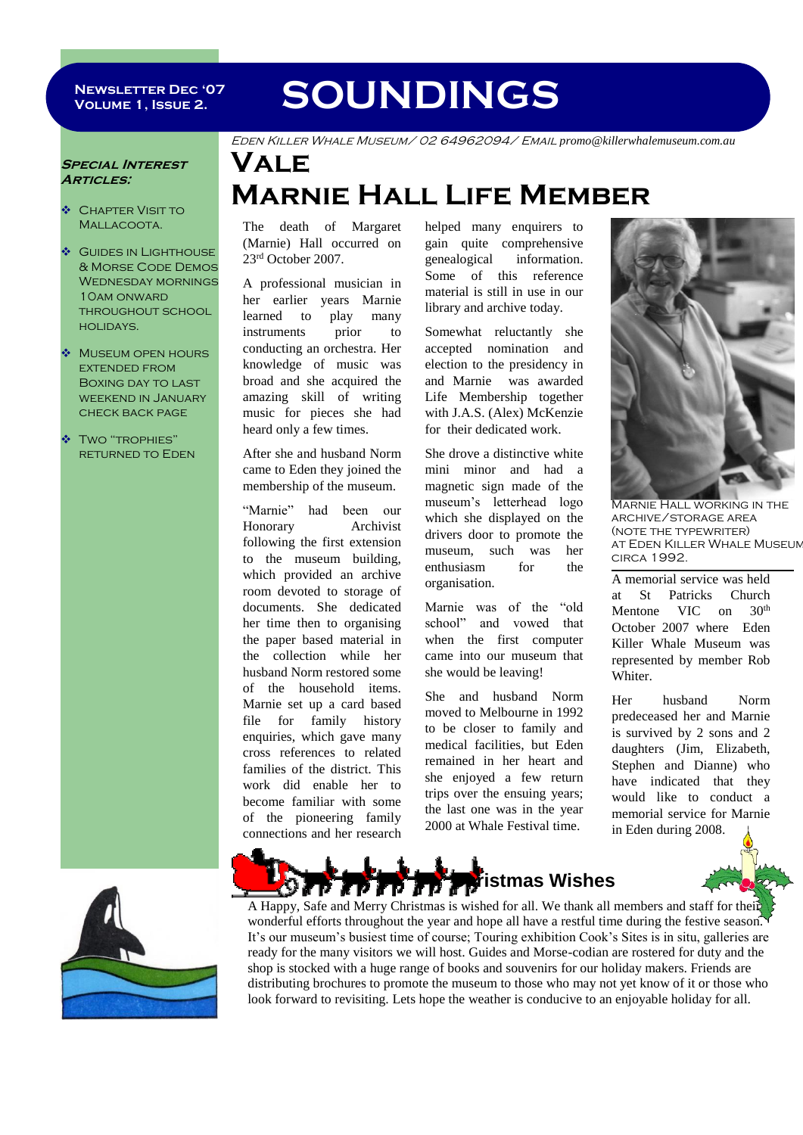#### **Newsletter Dec '07 Volume 1, Issue 2.**

# **SOUNDINGS**

#### **Special Interest Articles:**

- Chapter Visit to Mallacoota.
- Guides in Lighthouse & Morse Code Demos WEDNESDAY MORNINGS 10am onward throughout school holidays.
- **MUSEUM OPEN HOURS** extended from Boxing day to last weekend in January check back page
- TWO "TROPHIES" returned to Eden

Eden Killer Whale Museum/ 02 64962094/ Email *promo@killerwhalemuseum.com.au* **Vale** 

# **Marnie Hall Life Member**

The death of Margaret (Marnie) Hall occurred on 23rd October 2007.

A professional musician in her earlier years Marnie learned to play many instruments prior to conducting an orchestra. Her knowledge of music was broad and she acquired the amazing skill of writing music for pieces she had heard only a few times.

After she and husband Norm came to Eden they joined the membership of the museum.

"Marnie" had been our Honorary Archivist following the first extension to the museum building, which provided an archive room devoted to storage of documents. She dedicated her time then to organising the paper based material in the collection while her husband Norm restored some of the household items. Marnie set up a card based file for family history enquiries, which gave many cross references to related families of the district. This work did enable her to become familiar with some of the pioneering family connections and her research

helped many enquirers to gain quite comprehensive genealogical information. Some of this reference material is still in use in our library and archive today.

Somewhat reluctantly she accepted nomination and election to the presidency in and Marnie was awarded Life Membership together with J.A.S. (Alex) McKenzie for their dedicated work.

She drove a distinctive white mini minor and had a magnetic sign made of the museum's letterhead logo which she displayed on the drivers door to promote the museum, such was her enthusiasm for the organisation.

Marnie was of the "old school" and vowed that when the first computer came into our museum that she would be leaving!

 2000 at Whale Festival time. She and husband Norm moved to Melbourne in 1992 to be closer to family and medical facilities, but Eden remained in her heart and she enjoyed a few return trips over the ensuing years; the last one was in the year



Marnie Hall working in the archive/storage area (note the typewriter) at Eden Killer Whale Museum circa 1992.

A memorial service was held at St Patricks Church<br>Mentone VIC on 30<sup>th</sup> Mentone VIC on October 2007 where Eden Killer Whale Museum was represented by member Rob Whiter.

Her husband Norm predeceased her and Marnie is survived by 2 sons and 2 daughters (Jim, Elizabeth, Stephen and Dianne) who have indicated that they would like to conduct a memorial service for Marnie in Eden during 2008.



## **Printing the State of State Strategy Printing Strategy**

A Happy, Safe and Merry Christmas is wished for all. We thank all members and staff for their wonderful efforts throughout the year and hope all have a restful time during the festive season. It's our museum's busiest time of course; Touring exhibition Cook's Sites is in situ, galleries are ready for the many visitors we will host. Guides and Morse-codian are rostered for duty and the shop is stocked with a huge range of books and souvenirs for our holiday makers. Friends are distributing brochures to promote the museum to those who may not yet know of it or those who look forward to revisiting. Lets hope the weather is conducive to an enjoyable holiday for all.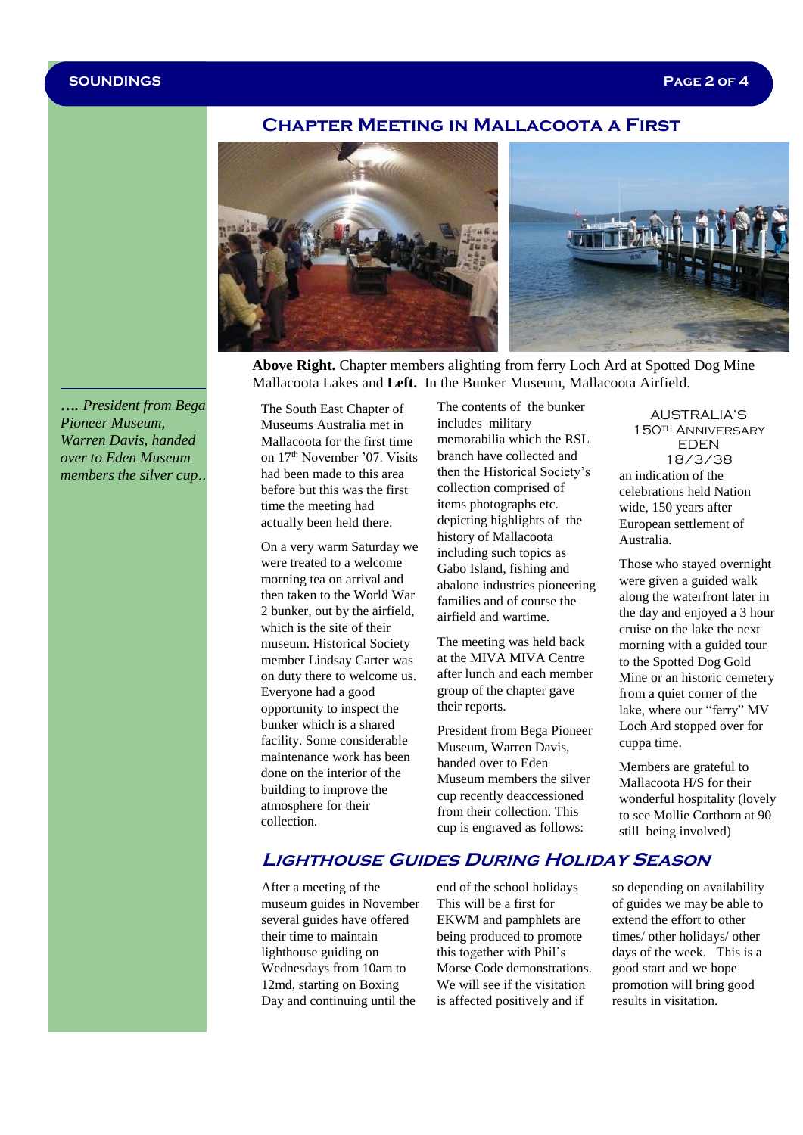### **Chapter Meeting in Mallacoota a First**



**Above Right.** Chapter members alighting from ferry Loch Ard at Spotted Dog Mine Mallacoota Lakes and **Left.** In the Bunker Museum, Mallacoota Airfield.

*…. President from Bega Pioneer Museum, Warren Davis, handed over to Eden Museum members the silver cup*..

The South East Chapter of Museums Australia met in Mallacoota for the first time on 17th November '07. Visits had been made to this area before but this was the first time the meeting had actually been held there.

On a very warm Saturday we were treated to a welcome morning tea on arrival and then taken to the World War 2 bunker, out by the airfield, which is the site of their museum. Historical Society member Lindsay Carter was on duty there to welcome us. Everyone had a good opportunity to inspect the bunker which is a shared facility. Some considerable maintenance work has been done on the interior of the building to improve the atmosphere for their collection.

The contents of the bunker includes military memorabilia which the RSL branch have collected and then the Historical Society's collection comprised of items photographs etc. depicting highlights of the history of Mallacoota including such topics as Gabo Island, fishing and abalone industries pioneering families and of course the airfield and wartime.

The meeting was held back at the MIVA MIVA Centre after lunch and each member group of the chapter gave their reports.

President from Bega Pioneer Museum, Warren Davis, handed over to Eden Museum members the silver cup recently deaccessioned from their collection. This cup is engraved as follows:

AUSTRALIA'S 150th Anniversary EDEN 18/3/38 an indication of the celebrations held Nation wide, 150 years after European settlement of Australia.

Those who stayed overnight were given a guided walk along the waterfront later in the day and enjoyed a 3 hour cruise on the lake the next morning with a guided tour to the Spotted Dog Gold Mine or an historic cemetery from a quiet corner of the lake, where our "ferry" MV Loch Ard stopped over for cuppa time.

Members are grateful to Mallacoota H/S for their wonderful hospitality (lovely to see Mollie Corthorn at 90 still being involved)

### **Lighthouse Guides During Holiday Season**

After a meeting of the museum guides in November several guides have offered their time to maintain lighthouse guiding on Wednesdays from 10am to 12md, starting on Boxing Day and continuing until the

end of the school holidays This will be a first for EKWM and pamphlets are being produced to promote this together with Phil's Morse Code demonstrations. We will see if the visitation is affected positively and if

so depending on availability of guides we may be able to extend the effort to other times/ other holidays/ other days of the week. This is a good start and we hope promotion will bring good results in visitation.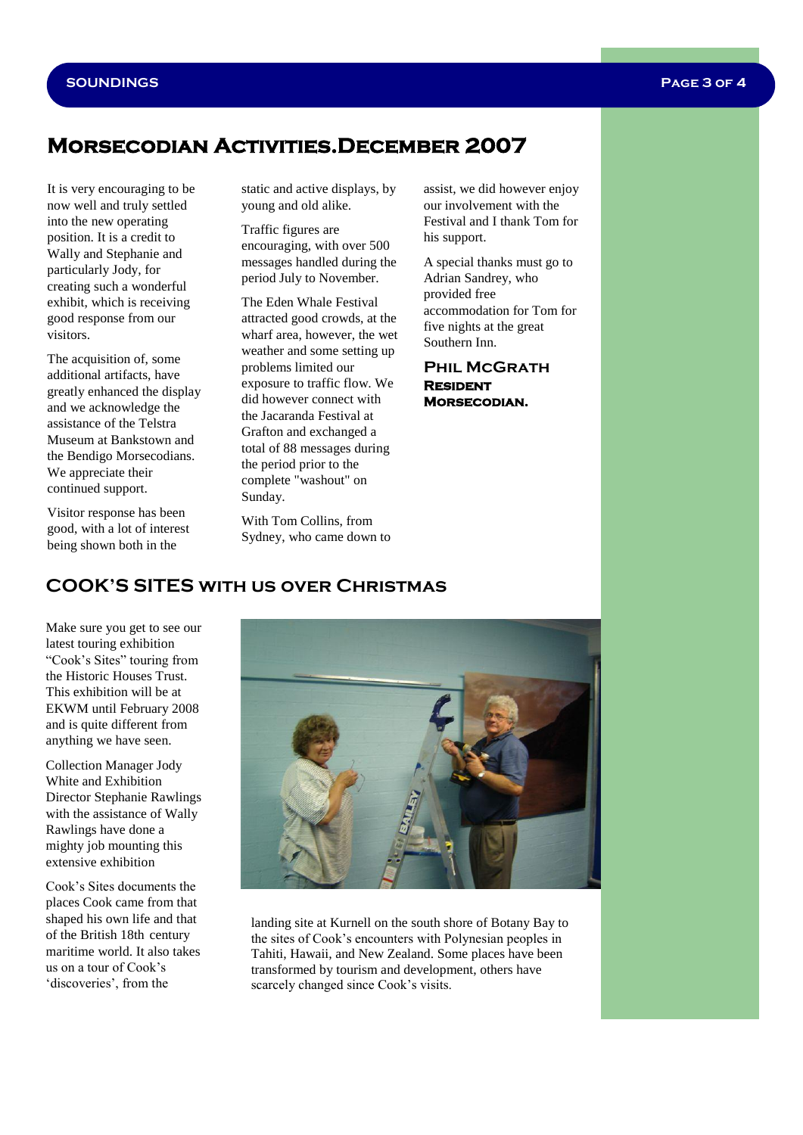## **Morsecodian Activities.December 2007**

It is very encouraging to be now well and truly settled into the new operating position. It is a credit to Wally and Stephanie and particularly Jody, for creating such a wonderful exhibit, which is receiving good response from our visitors.

The acquisition of, some additional artifacts, have greatly enhanced the display and we acknowledge the assistance of the Telstra Museum at Bankstown and the Bendigo Morsecodians. We appreciate their continued support.

Visitor response has been good, with a lot of interest being shown both in the

static and active displays, by young and old alike.

Traffic figures are encouraging, with over 500 messages handled during the period July to November.

The Eden Whale Festival attracted good crowds, at the wharf area, however, the wet weather and some setting up problems limited our exposure to traffic flow. We did however connect with the Jacaranda Festival at Grafton and exchanged a total of 88 messages during the period prior to the complete "washout" on Sunday.

With Tom Collins, from Sydney, who came down to assist, we did however enjoy our involvement with the Festival and I thank Tom for his support.

A special thanks must go to Adrian Sandrey, who provided free accommodation for Tom for five nights at the great Southern Inn.

**Phil McGrath Resident Morsecodian.**

## **COOK'S SITES with us over Christmas**

Make sure you get to see our latest touring exhibition "Cook's Sites" touring from the Historic Houses Trust. This exhibition will be at EKWM until February 2008 and is quite different from anything we have seen.

Collection Manager Jody White and Exhibition Director Stephanie Rawlings with the assistance of Wally Rawlings have done a mighty job mounting this extensive exhibition

Cook's Sites documents the places Cook came from that shaped his own life and that of the British 18th century maritime world. It also takes us on a tour of Cook's 'discoveries', from the



landing site at Kurnell on the south shore of Botany Bay to the sites of Cook's encounters with Polynesian peoples in Tahiti, Hawaii, and New Zealand. Some places have been transformed by tourism and development, others have scarcely changed since Cook's visits.